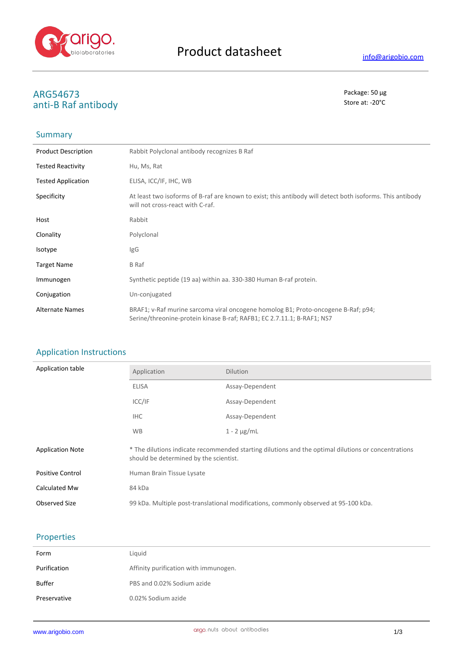

# **ARG54673** Package: 50 μg<br>
anti-R Rafantihody anti-B Raf antibody

## Summary

| <b>Product Description</b> | Rabbit Polyclonal antibody recognizes B Raf                                                                                                                 |
|----------------------------|-------------------------------------------------------------------------------------------------------------------------------------------------------------|
| <b>Tested Reactivity</b>   | Hu, Ms, Rat                                                                                                                                                 |
| <b>Tested Application</b>  | ELISA, ICC/IF, IHC, WB                                                                                                                                      |
| Specificity                | At least two isoforms of B-raf are known to exist; this antibody will detect both isoforms. This antibody<br>will not cross-react with C-raf.               |
| Host                       | Rabbit                                                                                                                                                      |
| Clonality                  | Polyclonal                                                                                                                                                  |
| Isotype                    | IgG                                                                                                                                                         |
| <b>Target Name</b>         | B Raf                                                                                                                                                       |
| Immunogen                  | Synthetic peptide (19 aa) within aa. 330-380 Human B-raf protein.                                                                                           |
| Conjugation                | Un-conjugated                                                                                                                                               |
| <b>Alternate Names</b>     | BRAF1; v-Raf murine sarcoma viral oncogene homolog B1; Proto-oncogene B-Raf; p94;<br>Serine/threonine-protein kinase B-raf; RAFB1; EC 2.7.11.1; B-RAF1; NS7 |

### Application Instructions

| Application table       | Application                                                                                                                                   | <b>Dilution</b>  |
|-------------------------|-----------------------------------------------------------------------------------------------------------------------------------------------|------------------|
|                         | <b>ELISA</b>                                                                                                                                  | Assay-Dependent  |
|                         | ICC/IF                                                                                                                                        | Assay-Dependent  |
|                         | <b>IHC</b>                                                                                                                                    | Assay-Dependent  |
|                         | <b>WB</b>                                                                                                                                     | $1 - 2 \mu g/mL$ |
| <b>Application Note</b> | * The dilutions indicate recommended starting dilutions and the optimal dilutions or concentrations<br>should be determined by the scientist. |                  |
| <b>Positive Control</b> | Human Brain Tissue Lysate                                                                                                                     |                  |
| Calculated Mw           | 84 kDa                                                                                                                                        |                  |
| <b>Observed Size</b>    | 99 kDa. Multiple post-translational modifications, commonly observed at 95-100 kDa.                                                           |                  |

#### Properties

| Form         | Liquid                                |
|--------------|---------------------------------------|
| Purification | Affinity purification with immunogen. |
| Buffer       | PBS and 0.02% Sodium azide            |
| Preservative | 0.02% Sodium azide                    |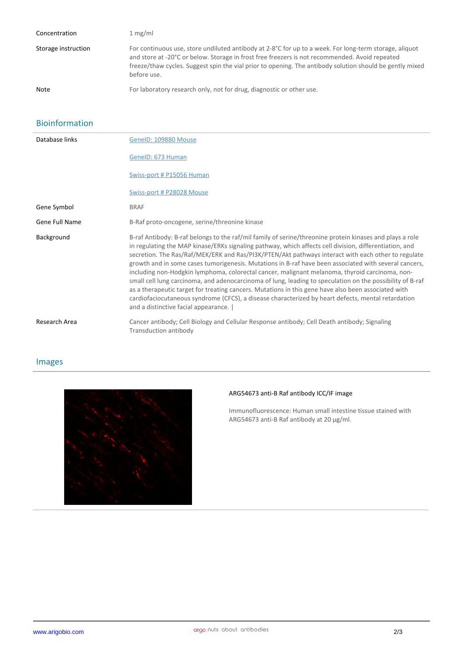| Concentration       | 1 mg/ml                                                                                                                                                                                                                                                                                                                             |
|---------------------|-------------------------------------------------------------------------------------------------------------------------------------------------------------------------------------------------------------------------------------------------------------------------------------------------------------------------------------|
| Storage instruction | For continuous use, store undiluted antibody at 2-8°C for up to a week. For long-term storage, aliquot<br>and store at -20°C or below. Storage in frost free freezers is not recommended. Avoid repeated<br>freeze/thaw cycles. Suggest spin the vial prior to opening. The antibody solution should be gently mixed<br>before use. |
| <b>Note</b>         | For laboratory research only, not for drug, diagnostic or other use.                                                                                                                                                                                                                                                                |

#### Bioinformation

| Database links | GeneID: 109880 Mouse                                                                                                                                                                                                                                                                                                                                                                                                                                                                                                                                                                                                                                                                                                                                                                                                                                                                                  |
|----------------|-------------------------------------------------------------------------------------------------------------------------------------------------------------------------------------------------------------------------------------------------------------------------------------------------------------------------------------------------------------------------------------------------------------------------------------------------------------------------------------------------------------------------------------------------------------------------------------------------------------------------------------------------------------------------------------------------------------------------------------------------------------------------------------------------------------------------------------------------------------------------------------------------------|
|                | GenelD: 673 Human                                                                                                                                                                                                                                                                                                                                                                                                                                                                                                                                                                                                                                                                                                                                                                                                                                                                                     |
|                | Swiss-port # P15056 Human                                                                                                                                                                                                                                                                                                                                                                                                                                                                                                                                                                                                                                                                                                                                                                                                                                                                             |
|                | Swiss-port # P28028 Mouse                                                                                                                                                                                                                                                                                                                                                                                                                                                                                                                                                                                                                                                                                                                                                                                                                                                                             |
| Gene Symbol    | <b>BRAF</b>                                                                                                                                                                                                                                                                                                                                                                                                                                                                                                                                                                                                                                                                                                                                                                                                                                                                                           |
| Gene Full Name | B-Raf proto-oncogene, serine/threonine kinase                                                                                                                                                                                                                                                                                                                                                                                                                                                                                                                                                                                                                                                                                                                                                                                                                                                         |
| Background     | B-raf Antibody: B-raf belongs to the raf/mil family of serine/threonine protein kinases and plays a role<br>in regulating the MAP kinase/ERKs signaling pathway, which affects cell division, differentiation, and<br>secretion. The Ras/Raf/MEK/ERK and Ras/PI3K/PTEN/Akt pathways interact with each other to regulate<br>growth and in some cases tumorigenesis. Mutations in B-raf have been associated with several cancers,<br>including non-Hodgkin lymphoma, colorectal cancer, malignant melanoma, thyroid carcinoma, non-<br>small cell lung carcinoma, and adenocarcinoma of lung, leading to speculation on the possibility of B-raf<br>as a therapeutic target for treating cancers. Mutations in this gene have also been associated with<br>cardiofaciocutaneous syndrome (CFCS), a disease characterized by heart defects, mental retardation<br>and a distinctive facial appearance. |
| Research Area  | Cancer antibody; Cell Biology and Cellular Response antibody; Cell Death antibody; Signaling<br>Transduction antibody                                                                                                                                                                                                                                                                                                                                                                                                                                                                                                                                                                                                                                                                                                                                                                                 |

### Images



#### **ARG54673 anti-B Raf antibody ICC/IF image**

Immunofluorescence: Human small intestine tissue stained with ARG54673 anti-B Raf antibody at 20 μg/ml.